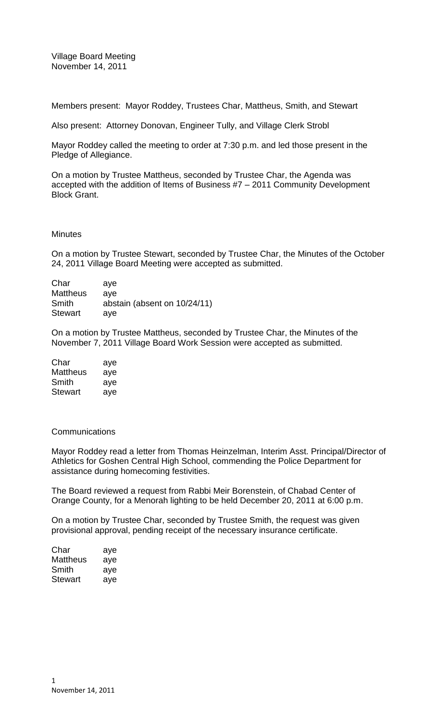Village Board Meeting November 14, 2011

Members present: Mayor Roddey, Trustees Char, Mattheus, Smith, and Stewart

Also present: Attorney Donovan, Engineer Tully, and Village Clerk Strobl

Mayor Roddey called the meeting to order at 7:30 p.m. and led those present in the Pledge of Allegiance.

On a motion by Trustee Mattheus, seconded by Trustee Char, the Agenda was accepted with the addition of Items of Business #7 – 2011 Community Development Block Grant.

#### **Minutes**

On a motion by Trustee Stewart, seconded by Trustee Char, the Minutes of the October 24, 2011 Village Board Meeting were accepted as submitted.

| Char            | ave                          |
|-----------------|------------------------------|
| <b>Mattheus</b> | ave                          |
| Smith           | abstain (absent on 10/24/11) |
| <b>Stewart</b>  | ave                          |

On a motion by Trustee Mattheus, seconded by Trustee Char, the Minutes of the November 7, 2011 Village Board Work Session were accepted as submitted.

| Char           | aye |
|----------------|-----|
| Mattheus       | aye |
| Smith          | aye |
| <b>Stewart</b> | aye |

### **Communications**

Mayor Roddey read a letter from Thomas Heinzelman, Interim Asst. Principal/Director of Athletics for Goshen Central High School, commending the Police Department for assistance during homecoming festivities.

The Board reviewed a request from Rabbi Meir Borenstein, of Chabad Center of Orange County, for a Menorah lighting to be held December 20, 2011 at 6:00 p.m.

On a motion by Trustee Char, seconded by Trustee Smith, the request was given provisional approval, pending receipt of the necessary insurance certificate.

| Char     | aye |
|----------|-----|
| Mattheus | aye |
| Smith    | aye |
| Stewart  | aye |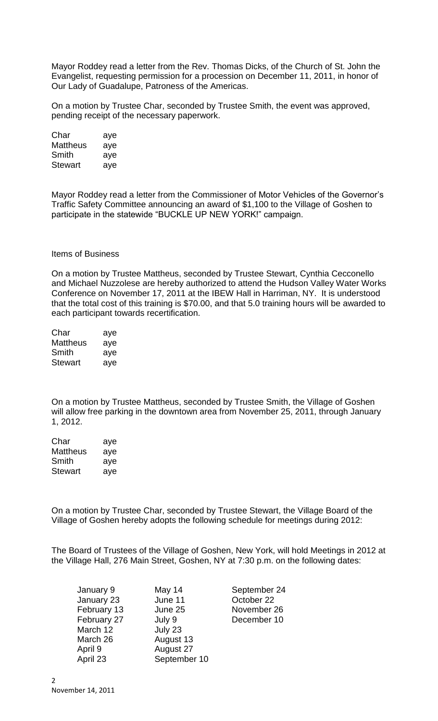Mayor Roddey read a letter from the Rev. Thomas Dicks, of the Church of St. John the Evangelist, requesting permission for a procession on December 11, 2011, in honor of Our Lady of Guadalupe, Patroness of the Americas.

On a motion by Trustee Char, seconded by Trustee Smith, the event was approved, pending receipt of the necessary paperwork.

| Char            | aye |
|-----------------|-----|
| <b>Mattheus</b> | aye |
| Smith           | aye |
| <b>Stewart</b>  | aye |

Mayor Roddey read a letter from the Commissioner of Motor Vehicles of the Governor's Traffic Safety Committee announcing an award of \$1,100 to the Village of Goshen to participate in the statewide "BUCKLE UP NEW YORK!" campaign.

# Items of Business

On a motion by Trustee Mattheus, seconded by Trustee Stewart, Cynthia Cecconello and Michael Nuzzolese are hereby authorized to attend the Hudson Valley Water Works Conference on November 17, 2011 at the IBEW Hall in Harriman, NY. It is understood that the total cost of this training is \$70.00, and that 5.0 training hours will be awarded to each participant towards recertification.

| Char     | aye |
|----------|-----|
| Mattheus | aye |
| Smith    | aye |
| Stewart  | aye |

On a motion by Trustee Mattheus, seconded by Trustee Smith, the Village of Goshen will allow free parking in the downtown area from November 25, 2011, through January 1, 2012.

| Char           | aye |
|----------------|-----|
| Mattheus       | aye |
| Smith          | aye |
| <b>Stewart</b> | aye |

On a motion by Trustee Char, seconded by Trustee Stewart, the Village Board of the Village of Goshen hereby adopts the following schedule for meetings during 2012:

The Board of Trustees of the Village of Goshen, New York, will hold Meetings in 2012 at the Village Hall, 276 Main Street, Goshen, NY at 7:30 p.m. on the following dates:

| January 9   | May 14       | September 24 |
|-------------|--------------|--------------|
| January 23  | June 11      | October 22   |
| February 13 | June 25      | November 26  |
| February 27 | July 9       | December 10  |
| March 12    | July 23      |              |
| March 26    | August 13    |              |
| April 9     | August 27    |              |
| April 23    | September 10 |              |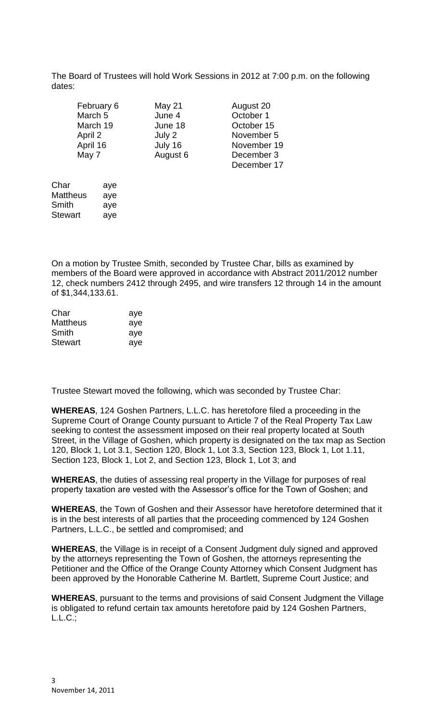The Board of Trustees will hold Work Sessions in 2012 at 7:00 p.m. on the following dates:

| February 6 | May 21   | August 20  |
|------------|----------|------------|
| March 5    | June 4   | October 1  |
| March 19   | June 18  | October 15 |
| April 2    | July 2   | November   |
| April 16   | July 16  | November   |
| May 7      | August 6 | December   |
|            |          | December   |

 $mber 5$ mber 19 mber 3 December 17

| Char     | aye |
|----------|-----|
| Mattheus | aye |
| Smith    | aye |
| Stewart  | aye |

On a motion by Trustee Smith, seconded by Trustee Char, bills as examined by members of the Board were approved in accordance with Abstract 2011/2012 number 12, check numbers 2412 through 2495, and wire transfers 12 through 14 in the amount of \$1,344,133.61.

| Char            | aye |
|-----------------|-----|
| <b>Mattheus</b> | aye |
| Smith           | aye |
| <b>Stewart</b>  | aye |

Trustee Stewart moved the following, which was seconded by Trustee Char:

**WHEREAS**, 124 Goshen Partners, L.L.C. has heretofore filed a proceeding in the Supreme Court of Orange County pursuant to Article 7 of the Real Property Tax Law seeking to contest the assessment imposed on their real property located at South Street, in the Village of Goshen, which property is designated on the tax map as Section 120, Block 1, Lot 3.1, Section 120, Block 1, Lot 3.3, Section 123, Block 1, Lot 1.11, Section 123, Block 1, Lot 2, and Section 123, Block 1, Lot 3; and

**WHEREAS**, the duties of assessing real property in the Village for purposes of real property taxation are vested with the Assessor's office for the Town of Goshen; and

**WHEREAS**, the Town of Goshen and their Assessor have heretofore determined that it is in the best interests of all parties that the proceeding commenced by 124 Goshen Partners, L.L.C., be settled and compromised; and

**WHEREAS**, the Village is in receipt of a Consent Judgment duly signed and approved by the attorneys representing the Town of Goshen, the attorneys representing the Petitioner and the Office of the Orange County Attorney which Consent Judgment has been approved by the Honorable Catherine M. Bartlett, Supreme Court Justice; and

**WHEREAS**, pursuant to the terms and provisions of said Consent Judgment the Village is obligated to refund certain tax amounts heretofore paid by 124 Goshen Partners, L.L.C.;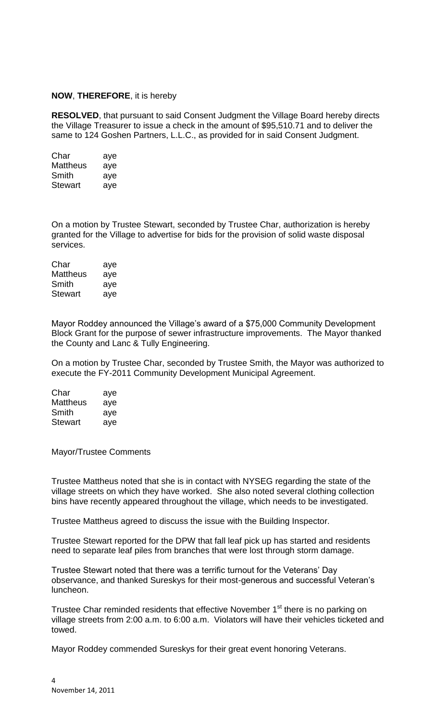### **NOW**, **THEREFORE**, it is hereby

**RESOLVED**, that pursuant to said Consent Judgment the Village Board hereby directs the Village Treasurer to issue a check in the amount of \$95,510.71 and to deliver the same to 124 Goshen Partners, L.L.C., as provided for in said Consent Judgment.

| Char           | aye |
|----------------|-----|
| Mattheus       | aye |
| Smith          | aye |
| <b>Stewart</b> | aye |

On a motion by Trustee Stewart, seconded by Trustee Char, authorization is hereby granted for the Village to advertise for bids for the provision of solid waste disposal services.

| Char     | aye |
|----------|-----|
| Mattheus | aye |
| Smith    | aye |
| Stewart  | aye |

Mayor Roddey announced the Village's award of a \$75,000 Community Development Block Grant for the purpose of sewer infrastructure improvements. The Mayor thanked the County and Lanc & Tully Engineering.

On a motion by Trustee Char, seconded by Trustee Smith, the Mayor was authorized to execute the FY-2011 Community Development Municipal Agreement.

| Char           | aye |
|----------------|-----|
| Mattheus       | aye |
| Smith          | aye |
| <b>Stewart</b> | aye |

Mayor/Trustee Comments

Trustee Mattheus noted that she is in contact with NYSEG regarding the state of the village streets on which they have worked. She also noted several clothing collection bins have recently appeared throughout the village, which needs to be investigated.

Trustee Mattheus agreed to discuss the issue with the Building Inspector.

Trustee Stewart reported for the DPW that fall leaf pick up has started and residents need to separate leaf piles from branches that were lost through storm damage.

Trustee Stewart noted that there was a terrific turnout for the Veterans' Day observance, and thanked Sureskys for their most-generous and successful Veteran's luncheon.

Trustee Char reminded residents that effective November 1<sup>st</sup> there is no parking on village streets from 2:00 a.m. to 6:00 a.m. Violators will have their vehicles ticketed and towed.

Mayor Roddey commended Sureskys for their great event honoring Veterans.